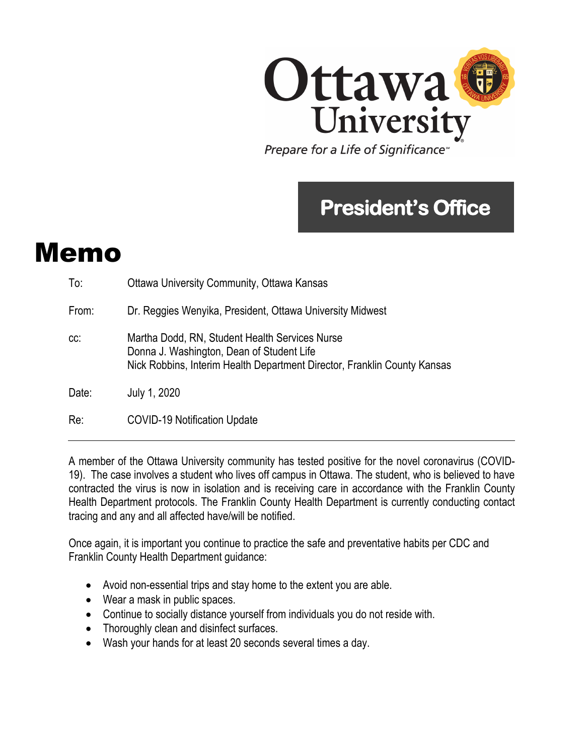

## **President's Office**

## Memo

| To:   | <b>Ottawa University Community, Ottawa Kansas</b>                                                                                                                       |
|-------|-------------------------------------------------------------------------------------------------------------------------------------------------------------------------|
| From: | Dr. Reggies Wenyika, President, Ottawa University Midwest                                                                                                               |
| CC.   | Martha Dodd, RN, Student Health Services Nurse<br>Donna J. Washington, Dean of Student Life<br>Nick Robbins, Interim Health Department Director, Franklin County Kansas |
| Date: | July 1, 2020                                                                                                                                                            |
| Re:   | <b>COVID-19 Notification Update</b>                                                                                                                                     |

A member of the Ottawa University community has tested positive for the novel coronavirus (COVID-19). The case involves a student who lives off campus in Ottawa. The student, who is believed to have contracted the virus is now in isolation and is receiving care in accordance with the Franklin County Health Department protocols. The Franklin County Health Department is currently conducting contact tracing and any and all affected have/will be notified.

Once again, it is important you continue to practice the safe and preventative habits per CDC and Franklin County Health Department guidance:

- Avoid non-essential trips and stay home to the extent you are able.
- Wear a mask in public spaces.
- Continue to socially distance yourself from individuals you do not reside with.
- Thoroughly clean and disinfect surfaces.
- Wash your hands for at least 20 seconds several times a day.